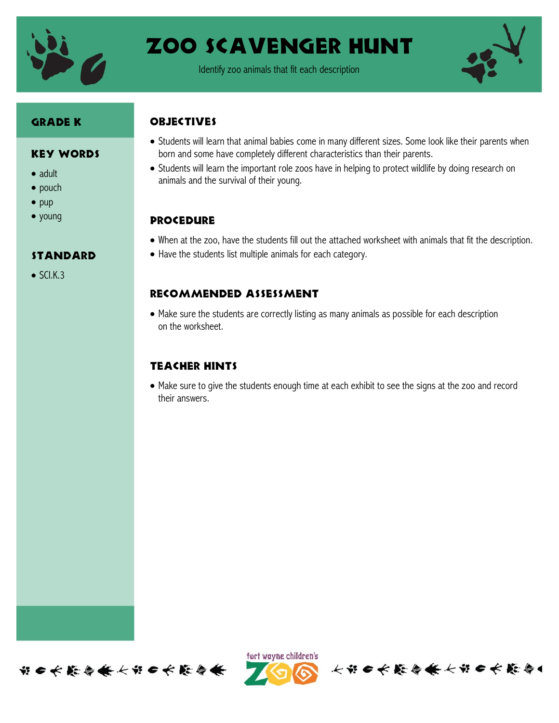

## Zoo Scavenger Hunt

Identify zoo animals that fit each description



#### Grade K

#### Key Words

- adult
- $\bullet$  pouch
- $\bullet$  pup
- young

#### standard

 $\bullet$  SCLK.3

#### **OBJECTIVES**

- Students will learn that animal babies come in many different sizes. Some look like their parents when born and some have completely different characteristics than their parents.
- Students will learn the important role zoos have in helping to protect wildlife by doing research on animals and the survival of their young.

#### **PROCEDURE**

- When at the zoo, have the students fill out the attached worksheet with animals that fit the description.
- Have the students list multiple animals for each category.

#### Recommended assessment

 Make sure the students are correctly listing as many animals as possible for each description on the worksheet.

#### Teacher Hints

 Make sure to give the students enough time at each exhibit to see the signs at the zoo and record their answers.





长节日长能与长长节日长能与